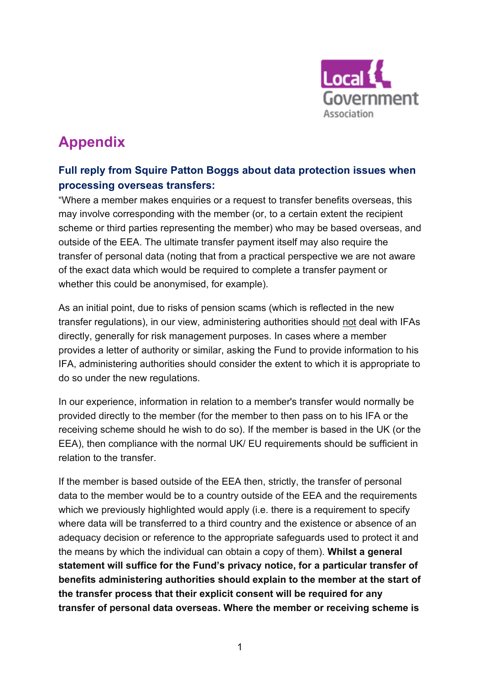

## **Appendix**

## **Full reply from Squire Patton Boggs about data protection issues when processing overseas transfers:**

"Where a member makes enquiries or a request to transfer benefits overseas, this may involve corresponding with the member (or, to a certain extent the recipient scheme or third parties representing the member) who may be based overseas, and outside of the EEA. The ultimate transfer payment itself may also require the transfer of personal data (noting that from a practical perspective we are not aware of the exact data which would be required to complete a transfer payment or whether this could be anonymised, for example).

As an initial point, due to risks of pension scams (which is reflected in the new transfer regulations), in our view, administering authorities should not deal with IFAs directly, generally for risk management purposes. In cases where a member provides a letter of authority or similar, asking the Fund to provide information to his IFA, administering authorities should consider the extent to which it is appropriate to do so under the new regulations.

In our experience, information in relation to a member's transfer would normally be provided directly to the member (for the member to then pass on to his IFA or the receiving scheme should he wish to do so). If the member is based in the UK (or the EEA), then compliance with the normal UK/ EU requirements should be sufficient in relation to the transfer.

If the member is based outside of the EEA then, strictly, the transfer of personal data to the member would be to a country outside of the EEA and the requirements which we previously highlighted would apply (i.e. there is a requirement to specify where data will be transferred to a third country and the existence or absence of an adequacy decision or reference to the appropriate safeguards used to protect it and the means by which the individual can obtain a copy of them). **Whilst a general statement will suffice for the Fund's privacy notice, for a particular transfer of benefits administering authorities should explain to the member at the start of the transfer process that their explicit consent will be required for any transfer of personal data overseas. Where the member or receiving scheme is**